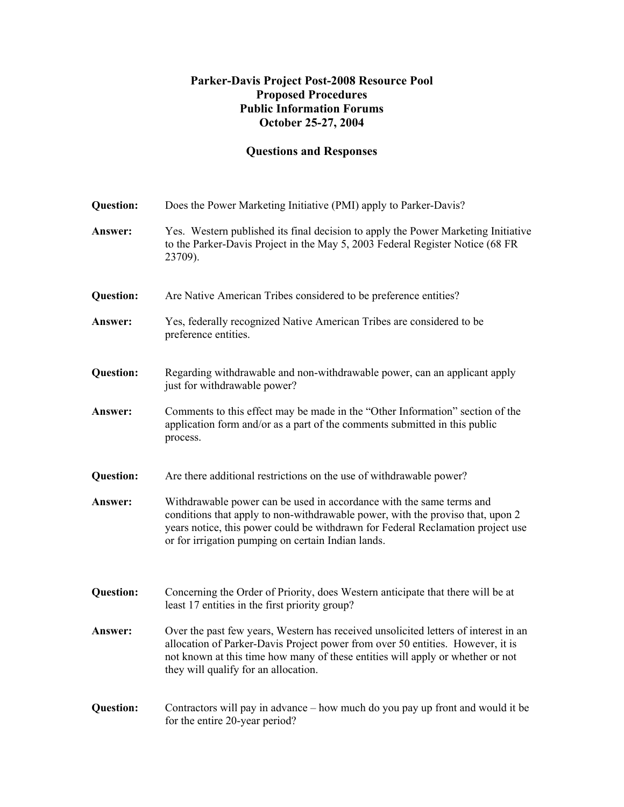## **Parker-Davis Project Post-2008 Resource Pool Proposed Procedures Public Information Forums October 25-27, 2004**

## **Questions and Responses**

| <b>Question:</b> | Does the Power Marketing Initiative (PMI) apply to Parker-Davis?                                                                                                                                                                                                                                |
|------------------|-------------------------------------------------------------------------------------------------------------------------------------------------------------------------------------------------------------------------------------------------------------------------------------------------|
| Answer:          | Yes. Western published its final decision to apply the Power Marketing Initiative<br>to the Parker-Davis Project in the May 5, 2003 Federal Register Notice (68 FR)<br>23709).                                                                                                                  |
| <b>Question:</b> | Are Native American Tribes considered to be preference entities?                                                                                                                                                                                                                                |
| Answer:          | Yes, federally recognized Native American Tribes are considered to be<br>preference entities.                                                                                                                                                                                                   |
| <b>Question:</b> | Regarding withdrawable and non-withdrawable power, can an applicant apply<br>just for withdrawable power?                                                                                                                                                                                       |
| Answer:          | Comments to this effect may be made in the "Other Information" section of the<br>application form and/or as a part of the comments submitted in this public<br>process.                                                                                                                         |
| <b>Question:</b> | Are there additional restrictions on the use of withdrawable power?                                                                                                                                                                                                                             |
| Answer:          | Withdrawable power can be used in accordance with the same terms and<br>conditions that apply to non-withdrawable power, with the proviso that, upon 2<br>years notice, this power could be withdrawn for Federal Reclamation project use<br>or for irrigation pumping on certain Indian lands. |
| <b>Question:</b> | Concerning the Order of Priority, does Western anticipate that there will be at<br>least 17 entities in the first priority group?                                                                                                                                                               |
| <b>Answer:</b>   | Over the past few years, Western has received unsolicited letters of interest in an<br>allocation of Parker-Davis Project power from over 50 entities. However, it is<br>not known at this time how many of these entities will apply or whether or not<br>they will qualify for an allocation. |
| <b>Question:</b> | Contractors will pay in advance – how much do you pay up front and would it be<br>for the entire 20-year period?                                                                                                                                                                                |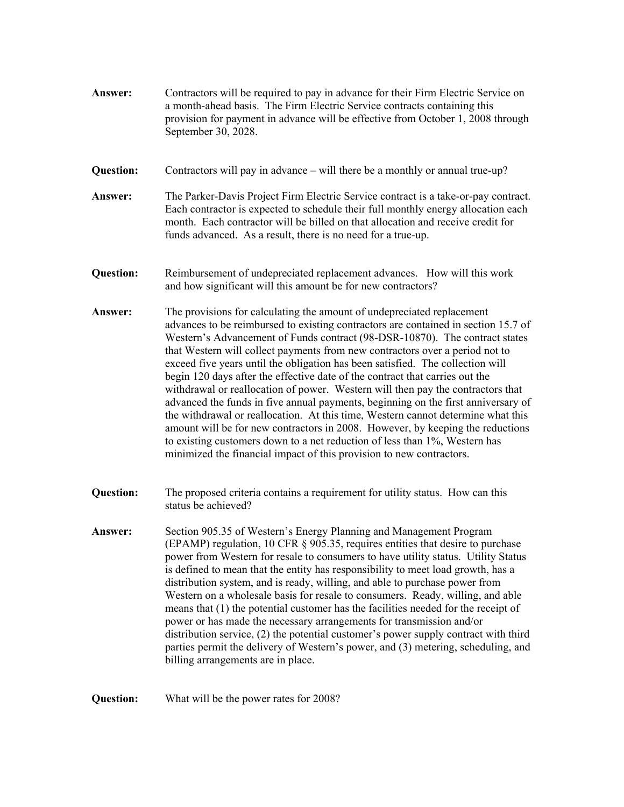**Answer:** Contractors will be required to pay in advance for their Firm Electric Service on a month-ahead basis. The Firm Electric Service contracts containing this provision for payment in advance will be effective from October 1, 2008 through September 30, 2028. **Question:** Contractors will pay in advance – will there be a monthly or annual true-up? **Answer:** The Parker-Davis Project Firm Electric Service contract is a take-or-pay contract. Each contractor is expected to schedule their full monthly energy allocation each month. Each contractor will be billed on that allocation and receive credit for funds advanced. As a result, there is no need for a true-up. **Question:** Reimbursement of undepreciated replacement advances. How will this work and how significant will this amount be for new contractors? **Answer:** The provisions for calculating the amount of undepreciated replacement advances to be reimbursed to existing contractors are contained in section 15.7 of Western's Advancement of Funds contract (98-DSR-10870). The contract states that Western will collect payments from new contractors over a period not to exceed five years until the obligation has been satisfied. The collection will begin 120 days after the effective date of the contract that carries out the withdrawal or reallocation of power. Western will then pay the contractors that advanced the funds in five annual payments, beginning on the first anniversary of the withdrawal or reallocation. At this time, Western cannot determine what this amount will be for new contractors in 2008. However, by keeping the reductions to existing customers down to a net reduction of less than 1%, Western has minimized the financial impact of this provision to new contractors. **Question:** The proposed criteria contains a requirement for utility status. How can this status be achieved? **Answer:** Section 905.35 of Western's Energy Planning and Management Program (EPAMP) regulation, 10 CFR § 905.35, requires entities that desire to purchase power from Western for resale to consumers to have utility status. Utility Status is defined to mean that the entity has responsibility to meet load growth, has a distribution system, and is ready, willing, and able to purchase power from Western on a wholesale basis for resale to consumers. Ready, willing, and able means that (1) the potential customer has the facilities needed for the receipt of power or has made the necessary arrangements for transmission and/or distribution service, (2) the potential customer's power supply contract with third parties permit the delivery of Western's power, and (3) metering, scheduling, and billing arrangements are in place. **Question:** What will be the power rates for 2008?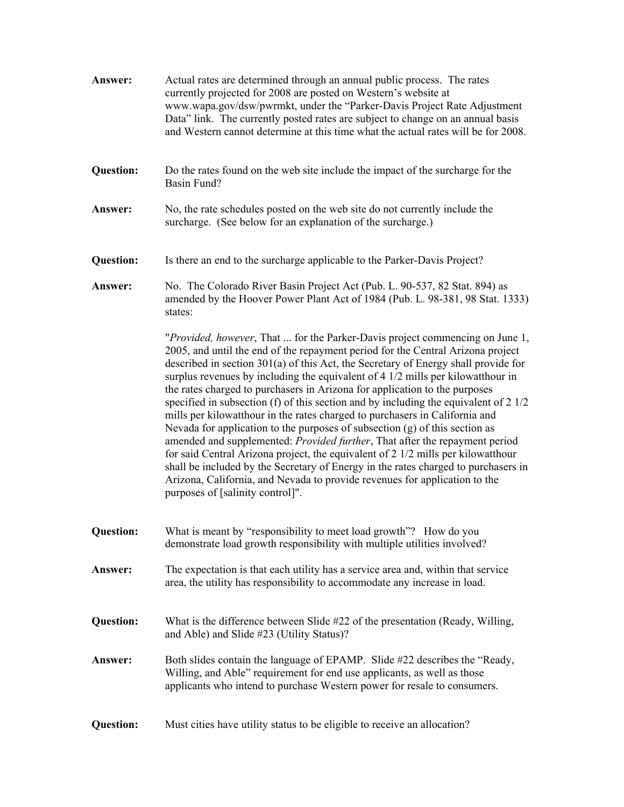| Answer:          | Actual rates are determined through an annual public process. The rates<br>currently projected for 2008 are posted on Western's website at<br>www.wapa.gov/dsw/pwrmkt, under the "Parker-Davis Project Rate Adjustment<br>Data" link. The currently posted rates are subject to change on an annual basis<br>and Western cannot determine at this time what the actual rates will be for 2008.                                                                                                                                                                                                                                                                                                                                                                                                                                                                                                                                                                                                                                                                              |
|------------------|-----------------------------------------------------------------------------------------------------------------------------------------------------------------------------------------------------------------------------------------------------------------------------------------------------------------------------------------------------------------------------------------------------------------------------------------------------------------------------------------------------------------------------------------------------------------------------------------------------------------------------------------------------------------------------------------------------------------------------------------------------------------------------------------------------------------------------------------------------------------------------------------------------------------------------------------------------------------------------------------------------------------------------------------------------------------------------|
| <b>Question:</b> | Do the rates found on the web site include the impact of the surcharge for the<br>Basin Fund?                                                                                                                                                                                                                                                                                                                                                                                                                                                                                                                                                                                                                                                                                                                                                                                                                                                                                                                                                                               |
| Answer:          | No, the rate schedules posted on the web site do not currently include the<br>surcharge. (See below for an explanation of the surcharge.)                                                                                                                                                                                                                                                                                                                                                                                                                                                                                                                                                                                                                                                                                                                                                                                                                                                                                                                                   |
| <b>Question:</b> | Is there an end to the surcharge applicable to the Parker-Davis Project?                                                                                                                                                                                                                                                                                                                                                                                                                                                                                                                                                                                                                                                                                                                                                                                                                                                                                                                                                                                                    |
| Answer:          | No. The Colorado River Basin Project Act (Pub. L. 90-537, 82 Stat. 894) as<br>amended by the Hoover Power Plant Act of 1984 (Pub. L. 98-381, 98 Stat. 1333)<br>states:                                                                                                                                                                                                                                                                                                                                                                                                                                                                                                                                                                                                                                                                                                                                                                                                                                                                                                      |
|                  | " <i>Provided, however</i> , That  for the Parker-Davis project commencing on June 1,<br>2005, and until the end of the repayment period for the Central Arizona project<br>described in section 301(a) of this Act, the Secretary of Energy shall provide for<br>surplus revenues by including the equivalent of 4 1/2 mills per kilowatthour in<br>the rates charged to purchasers in Arizona for application to the purposes<br>specified in subsection (f) of this section and by including the equivalent of $2\frac{1}{2}$<br>mills per kilowatthour in the rates charged to purchasers in California and<br>Nevada for application to the purposes of subsection $(g)$ of this section as<br>amended and supplemented: Provided further, That after the repayment period<br>for said Central Arizona project, the equivalent of 2 1/2 mills per kilowatthour<br>shall be included by the Secretary of Energy in the rates charged to purchasers in<br>Arizona, California, and Nevada to provide revenues for application to the<br>purposes of [salinity control]". |
| <b>Question:</b> | What is meant by "responsibility to meet load growth"? How do you<br>demonstrate load growth responsibility with multiple utilities involved?                                                                                                                                                                                                                                                                                                                                                                                                                                                                                                                                                                                                                                                                                                                                                                                                                                                                                                                               |
| Answer:          | The expectation is that each utility has a service area and, within that service<br>area, the utility has responsibility to accommodate any increase in load.                                                                                                                                                                                                                                                                                                                                                                                                                                                                                                                                                                                                                                                                                                                                                                                                                                                                                                               |
| <b>Question:</b> | What is the difference between Slide #22 of the presentation (Ready, Willing,<br>and Able) and Slide #23 (Utility Status)?                                                                                                                                                                                                                                                                                                                                                                                                                                                                                                                                                                                                                                                                                                                                                                                                                                                                                                                                                  |
| Answer:          | Both slides contain the language of EPAMP. Slide #22 describes the "Ready,<br>Willing, and Able" requirement for end use applicants, as well as those<br>applicants who intend to purchase Western power for resale to consumers.                                                                                                                                                                                                                                                                                                                                                                                                                                                                                                                                                                                                                                                                                                                                                                                                                                           |
| <b>Question:</b> | Must cities have utility status to be eligible to receive an allocation?                                                                                                                                                                                                                                                                                                                                                                                                                                                                                                                                                                                                                                                                                                                                                                                                                                                                                                                                                                                                    |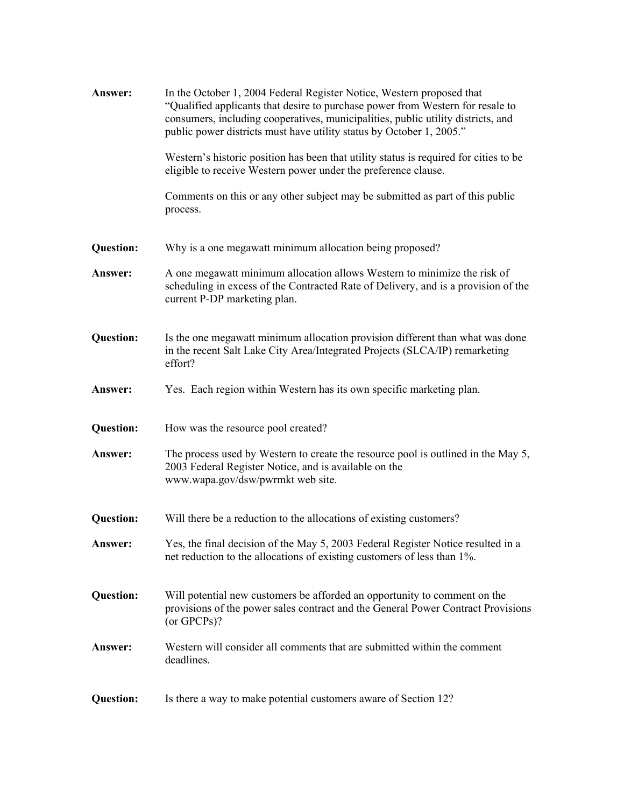| Answer:          | In the October 1, 2004 Federal Register Notice, Western proposed that<br>"Qualified applicants that desire to purchase power from Western for resale to<br>consumers, including cooperatives, municipalities, public utility districts, and<br>public power districts must have utility status by October 1, 2005." |
|------------------|---------------------------------------------------------------------------------------------------------------------------------------------------------------------------------------------------------------------------------------------------------------------------------------------------------------------|
|                  | Western's historic position has been that utility status is required for cities to be<br>eligible to receive Western power under the preference clause.                                                                                                                                                             |
|                  | Comments on this or any other subject may be submitted as part of this public<br>process.                                                                                                                                                                                                                           |
| <b>Question:</b> | Why is a one megawatt minimum allocation being proposed?                                                                                                                                                                                                                                                            |
| Answer:          | A one megawatt minimum allocation allows Western to minimize the risk of<br>scheduling in excess of the Contracted Rate of Delivery, and is a provision of the<br>current P-DP marketing plan.                                                                                                                      |
| <b>Question:</b> | Is the one megawatt minimum allocation provision different than what was done<br>in the recent Salt Lake City Area/Integrated Projects (SLCA/IP) remarketing<br>effort?                                                                                                                                             |
| Answer:          | Yes. Each region within Western has its own specific marketing plan.                                                                                                                                                                                                                                                |
| <b>Question:</b> | How was the resource pool created?                                                                                                                                                                                                                                                                                  |
| Answer:          | The process used by Western to create the resource pool is outlined in the May 5,<br>2003 Federal Register Notice, and is available on the<br>www.wapa.gov/dsw/pwrmkt web site.                                                                                                                                     |
| <b>Question:</b> | Will there be a reduction to the allocations of existing customers?                                                                                                                                                                                                                                                 |
| Answer:          | Yes, the final decision of the May 5, 2003 Federal Register Notice resulted in a<br>net reduction to the allocations of existing customers of less than 1%.                                                                                                                                                         |
| <b>Question:</b> | Will potential new customers be afforded an opportunity to comment on the<br>provisions of the power sales contract and the General Power Contract Provisions<br>(or GPCPs)?                                                                                                                                        |
| Answer:          | Western will consider all comments that are submitted within the comment<br>deadlines.                                                                                                                                                                                                                              |
| <b>Question:</b> | Is there a way to make potential customers aware of Section 12?                                                                                                                                                                                                                                                     |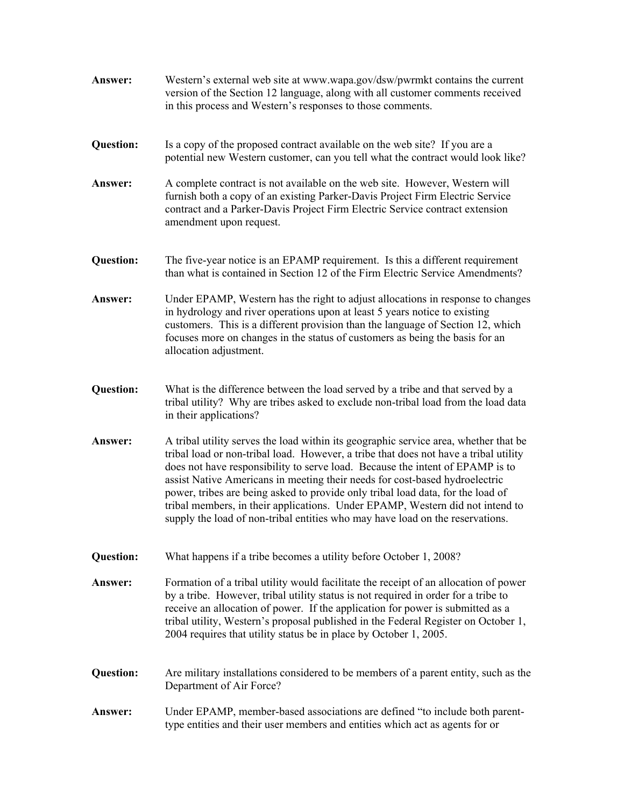| Answer:          | Western's external web site at www.wapa.gov/dsw/pwrmkt contains the current<br>version of the Section 12 language, along with all customer comments received<br>in this process and Western's responses to those comments.                                                                                                                                                                                                                                                                                                                                                                        |
|------------------|---------------------------------------------------------------------------------------------------------------------------------------------------------------------------------------------------------------------------------------------------------------------------------------------------------------------------------------------------------------------------------------------------------------------------------------------------------------------------------------------------------------------------------------------------------------------------------------------------|
| <b>Question:</b> | Is a copy of the proposed contract available on the web site? If you are a<br>potential new Western customer, can you tell what the contract would look like?                                                                                                                                                                                                                                                                                                                                                                                                                                     |
| Answer:          | A complete contract is not available on the web site. However, Western will<br>furnish both a copy of an existing Parker-Davis Project Firm Electric Service<br>contract and a Parker-Davis Project Firm Electric Service contract extension<br>amendment upon request.                                                                                                                                                                                                                                                                                                                           |
| <b>Question:</b> | The five-year notice is an EPAMP requirement. Is this a different requirement<br>than what is contained in Section 12 of the Firm Electric Service Amendments?                                                                                                                                                                                                                                                                                                                                                                                                                                    |
| Answer:          | Under EPAMP, Western has the right to adjust allocations in response to changes<br>in hydrology and river operations upon at least 5 years notice to existing<br>customers. This is a different provision than the language of Section 12, which<br>focuses more on changes in the status of customers as being the basis for an<br>allocation adjustment.                                                                                                                                                                                                                                        |
| <b>Question:</b> | What is the difference between the load served by a tribe and that served by a<br>tribal utility? Why are tribes asked to exclude non-tribal load from the load data<br>in their applications?                                                                                                                                                                                                                                                                                                                                                                                                    |
| Answer:          | A tribal utility serves the load within its geographic service area, whether that be<br>tribal load or non-tribal load. However, a tribe that does not have a tribal utility<br>does not have responsibility to serve load. Because the intent of EPAMP is to<br>assist Native Americans in meeting their needs for cost-based hydroelectric<br>power, tribes are being asked to provide only tribal load data, for the load of<br>tribal members, in their applications. Under EPAMP, Western did not intend to<br>supply the load of non-tribal entities who may have load on the reservations. |
| <b>Question:</b> | What happens if a tribe becomes a utility before October 1, 2008?                                                                                                                                                                                                                                                                                                                                                                                                                                                                                                                                 |
| <b>Answer:</b>   | Formation of a tribal utility would facilitate the receipt of an allocation of power<br>by a tribe. However, tribal utility status is not required in order for a tribe to<br>receive an allocation of power. If the application for power is submitted as a<br>tribal utility, Western's proposal published in the Federal Register on October 1,<br>2004 requires that utility status be in place by October 1, 2005.                                                                                                                                                                           |
| <b>Question:</b> | Are military installations considered to be members of a parent entity, such as the<br>Department of Air Force?                                                                                                                                                                                                                                                                                                                                                                                                                                                                                   |
| Answer:          | Under EPAMP, member-based associations are defined "to include both parent-<br>type entities and their user members and entities which act as agents for or                                                                                                                                                                                                                                                                                                                                                                                                                                       |